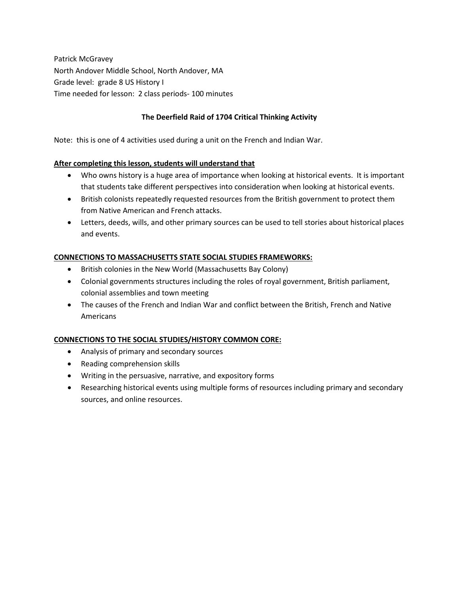Patrick McGravey North Andover Middle School, North Andover, MA Grade level: grade 8 US History I Time needed for lesson: 2 class periods- 100 minutes

## **The Deerfield Raid of 1704 Critical Thinking Activity**

Note: this is one of 4 activities used during a unit on the French and Indian War.

### **After completing this lesson, students will understand that**

- Who owns history is a huge area of importance when looking at historical events. It is important that students take different perspectives into consideration when looking at historical events.
- British colonists repeatedly requested resources from the British government to protect them from Native American and French attacks.
- Letters, deeds, wills, and other primary sources can be used to tell stories about historical places and events.

### **CONNECTIONS TO MASSACHUSETTS STATE SOCIAL STUDIES FRAMEWORKS:**

- British colonies in the New World (Massachusetts Bay Colony)
- Colonial governments structures including the roles of royal government, British parliament, colonial assemblies and town meeting
- The causes of the French and Indian War and conflict between the British, French and Native Americans

### **CONNECTIONS TO THE SOCIAL STUDIES/HISTORY COMMON CORE:**

- Analysis of primary and secondary sources
- Reading comprehension skills
- Writing in the persuasive, narrative, and expository forms
- Researching historical events using multiple forms of resources including primary and secondary sources, and online resources.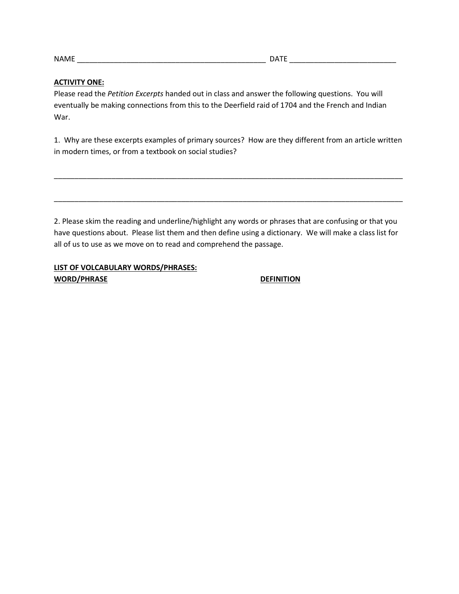NAME \_\_\_\_\_\_\_\_\_\_\_\_\_\_\_\_\_\_\_\_\_\_\_\_\_\_\_\_\_\_\_\_\_\_\_\_\_\_\_\_\_\_\_\_\_\_ DATE \_\_\_\_\_\_\_\_\_\_\_\_\_\_\_\_\_\_\_\_\_\_\_\_\_\_

#### **ACTIVITY ONE:**

Please read the *Petition Excerpts* handed out in class and answer the following questions. You will eventually be making connections from this to the Deerfield raid of 1704 and the French and Indian War.

1. Why are these excerpts examples of primary sources? How are they different from an article written in modern times, or from a textbook on social studies?

\_\_\_\_\_\_\_\_\_\_\_\_\_\_\_\_\_\_\_\_\_\_\_\_\_\_\_\_\_\_\_\_\_\_\_\_\_\_\_\_\_\_\_\_\_\_\_\_\_\_\_\_\_\_\_\_\_\_\_\_\_\_\_\_\_\_\_\_\_\_\_\_\_\_\_\_\_\_\_\_\_\_\_\_\_

\_\_\_\_\_\_\_\_\_\_\_\_\_\_\_\_\_\_\_\_\_\_\_\_\_\_\_\_\_\_\_\_\_\_\_\_\_\_\_\_\_\_\_\_\_\_\_\_\_\_\_\_\_\_\_\_\_\_\_\_\_\_\_\_\_\_\_\_\_\_\_\_\_\_\_\_\_\_\_\_\_\_\_\_\_

2. Please skim the reading and underline/highlight any words or phrases that are confusing or that you have questions about. Please list them and then define using a dictionary. We will make a class list for all of us to use as we move on to read and comprehend the passage.

## **LIST OF VOLCABULARY WORDS/PHRASES:** WORD/PHRASE DEFINITION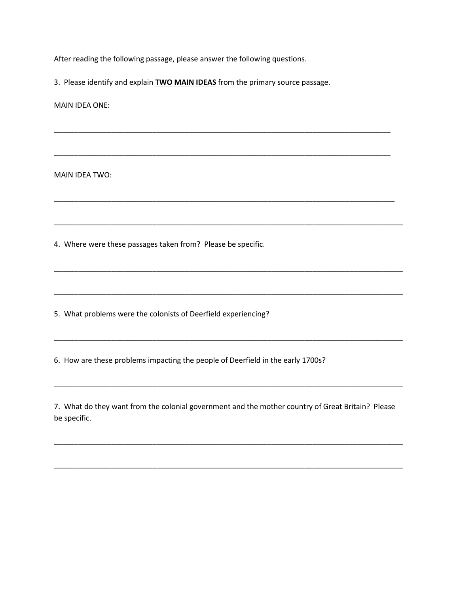After reading the following passage, please answer the following questions.

3. Please identify and explain **TWO MAIN IDEAS** from the primary source passage.

\_\_\_\_\_\_\_\_\_\_\_\_\_\_\_\_\_\_\_\_\_\_\_\_\_\_\_\_\_\_\_\_\_\_\_\_\_\_\_\_\_\_\_\_\_\_\_\_\_\_\_\_\_\_\_\_\_\_\_\_\_\_\_\_\_\_\_\_\_\_\_\_\_\_\_\_\_\_\_\_\_\_

\_\_\_\_\_\_\_\_\_\_\_\_\_\_\_\_\_\_\_\_\_\_\_\_\_\_\_\_\_\_\_\_\_\_\_\_\_\_\_\_\_\_\_\_\_\_\_\_\_\_\_\_\_\_\_\_\_\_\_\_\_\_\_\_\_\_\_\_\_\_\_\_\_\_\_\_\_\_\_\_\_\_

\_\_\_\_\_\_\_\_\_\_\_\_\_\_\_\_\_\_\_\_\_\_\_\_\_\_\_\_\_\_\_\_\_\_\_\_\_\_\_\_\_\_\_\_\_\_\_\_\_\_\_\_\_\_\_\_\_\_\_\_\_\_\_\_\_\_\_\_\_\_\_\_\_\_\_\_\_\_\_\_\_\_\_

\_\_\_\_\_\_\_\_\_\_\_\_\_\_\_\_\_\_\_\_\_\_\_\_\_\_\_\_\_\_\_\_\_\_\_\_\_\_\_\_\_\_\_\_\_\_\_\_\_\_\_\_\_\_\_\_\_\_\_\_\_\_\_\_\_\_\_\_\_\_\_\_\_\_\_\_\_\_\_\_\_\_\_\_\_

\_\_\_\_\_\_\_\_\_\_\_\_\_\_\_\_\_\_\_\_\_\_\_\_\_\_\_\_\_\_\_\_\_\_\_\_\_\_\_\_\_\_\_\_\_\_\_\_\_\_\_\_\_\_\_\_\_\_\_\_\_\_\_\_\_\_\_\_\_\_\_\_\_\_\_\_\_\_\_\_\_\_\_\_\_

\_\_\_\_\_\_\_\_\_\_\_\_\_\_\_\_\_\_\_\_\_\_\_\_\_\_\_\_\_\_\_\_\_\_\_\_\_\_\_\_\_\_\_\_\_\_\_\_\_\_\_\_\_\_\_\_\_\_\_\_\_\_\_\_\_\_\_\_\_\_\_\_\_\_\_\_\_\_\_\_\_\_\_\_\_

\_\_\_\_\_\_\_\_\_\_\_\_\_\_\_\_\_\_\_\_\_\_\_\_\_\_\_\_\_\_\_\_\_\_\_\_\_\_\_\_\_\_\_\_\_\_\_\_\_\_\_\_\_\_\_\_\_\_\_\_\_\_\_\_\_\_\_\_\_\_\_\_\_\_\_\_\_\_\_\_\_\_\_\_\_

MAIN IDEA ONE:

MAIN IDEA TWO:

4. Where were these passages taken from? Please be specific.

5. What problems were the colonists of Deerfield experiencing?

6. How are these problems impacting the people of Deerfield in the early 1700s?

7. What do they want from the colonial government and the mother country of Great Britain? Please be specific.

\_\_\_\_\_\_\_\_\_\_\_\_\_\_\_\_\_\_\_\_\_\_\_\_\_\_\_\_\_\_\_\_\_\_\_\_\_\_\_\_\_\_\_\_\_\_\_\_\_\_\_\_\_\_\_\_\_\_\_\_\_\_\_\_\_\_\_\_\_\_\_\_\_\_\_\_\_\_\_\_\_\_\_\_\_

\_\_\_\_\_\_\_\_\_\_\_\_\_\_\_\_\_\_\_\_\_\_\_\_\_\_\_\_\_\_\_\_\_\_\_\_\_\_\_\_\_\_\_\_\_\_\_\_\_\_\_\_\_\_\_\_\_\_\_\_\_\_\_\_\_\_\_\_\_\_\_\_\_\_\_\_\_\_\_\_\_\_\_\_\_

\_\_\_\_\_\_\_\_\_\_\_\_\_\_\_\_\_\_\_\_\_\_\_\_\_\_\_\_\_\_\_\_\_\_\_\_\_\_\_\_\_\_\_\_\_\_\_\_\_\_\_\_\_\_\_\_\_\_\_\_\_\_\_\_\_\_\_\_\_\_\_\_\_\_\_\_\_\_\_\_\_\_\_\_\_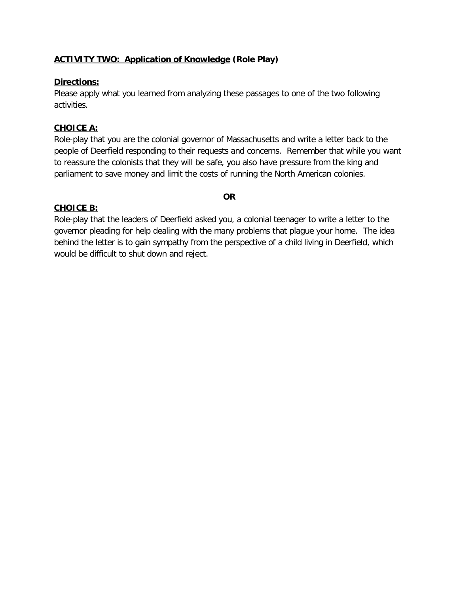# **ACTIVITY TWO: Application of Knowledge (Role Play)**

## **Directions:**

Please apply what you learned from analyzing these passages to one of the two following activities.

## **CHOICE A:**

Role-play that you are the colonial governor of Massachusetts and write a letter back to the people of Deerfield responding to their requests and concerns. Remember that while you want to reassure the colonists that they will be safe, you also have pressure from the king and parliament to save money and limit the costs of running the North American colonies.

### **OR**

## **CHOICE B:**

Role-play that the leaders of Deerfield asked you, a colonial teenager to write a letter to the governor pleading for help dealing with the many problems that plague your home. The idea behind the letter is to gain sympathy from the perspective of a child living in Deerfield, which would be difficult to shut down and reject.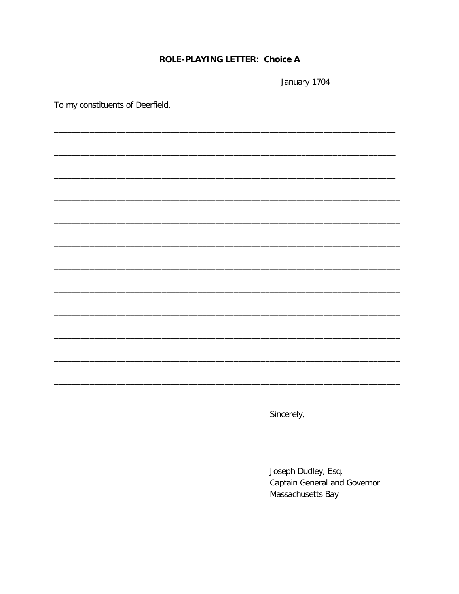# **ROLE-PLAYING LETTER: Choice A**

January 1704

To my constituents of Deerfield,

Sincerely,

Joseph Dudley, Esq. Captain General and Governor Massachusetts Bay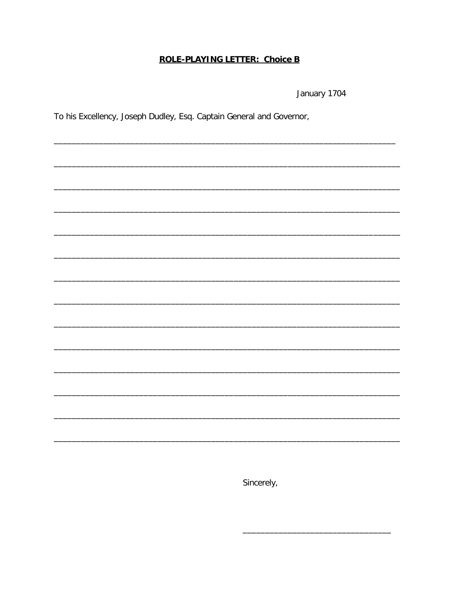# **ROLE-PLAYING LETTER: Choice B**

January 1704

To his Excellency, Joseph Dudley, Esq. Captain General and Governor,

Sincerely,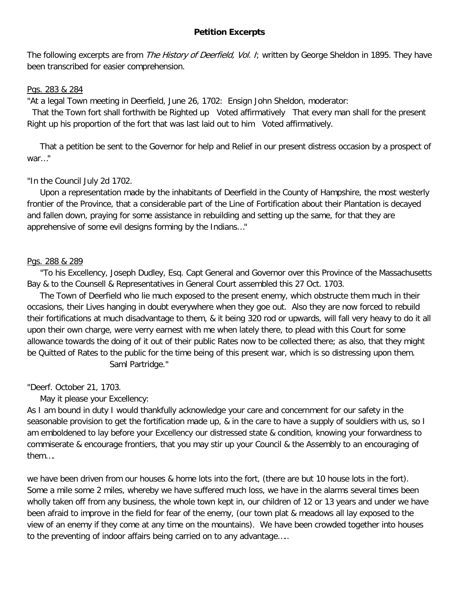## **Petition Excerpts**

The following excerpts are from *The History of Deerfield, Vol. I*; written by George Sheldon in 1895. They have been transcribed for easier comprehension.

## Pgs. 283 & 284

"At a legal Town meeting in Deerfield, June 26, 1702: Ensign John Sheldon, moderator:

 That the Town fort shall forthwith be Righted up Voted affirmatively That every man shall for the present Right up his proportion of the fort that was last laid out to him Voted affirmatively.

 That a petition be sent to the Governor for help and Relief in our present distress occasion by a prospect of war…"

## "In the Council July 2d 1702.

 Upon a representation made by the inhabitants of Deerfield in the County of Hampshire, the most westerly frontier of the Province, that a considerable part of the Line of Fortification about their Plantation is decayed and fallen down, praying for some assistance in rebuilding and setting up the same, for that they are apprehensive of some evil designs forming by the Indians…"

## Pgs. 288 & 289

 "To his Excellency, Joseph Dudley, Esq. Capt General and Governor over this Province of the Massachusetts Bay & to the Counsell & Representatives in General Court assembled this 27 Oct. 1703.

 The Town of Deerfield who lie much exposed to the present enemy, which obstructe them much in their occasions, their Lives hanging in doubt everywhere when they goe out. Also they are now forced to rebuild their fortifications at much disadvantage to them, & it being 320 rod or upwards, will fall very heavy to do it all upon their own charge, were verry earnest with me when lately there, to plead with this Court for some allowance towards the doing of it out of their public Rates now to be collected there; as also, that they might be Quitted of Rates to the public for the time being of this present war, which is so distressing upon them. Saml Partridge."

"Deerf. October 21, 1703.

May it please your Excellency:

As I am bound in duty I would thankfully acknowledge your care and concernment for our safety in the seasonable provision to get the fortification made up, & in the care to have a supply of souldiers with us, so I am emboldened to lay before your Excellency our distressed state & condition, knowing your forwardness to commiserate & encourage frontiers, that you may stir up your Council & the Assembly to an encouraging of them….

we have been driven from our houses & home lots into the fort, (there are but 10 house lots in the fort). Some a mile some 2 miles, whereby we have suffered much loss, we have in the alarms several times been wholly taken off from any business, the whole town kept in, our children of 12 or 13 years and under we have been afraid to improve in the field for fear of the enemy, (our town plat & meadows all lay exposed to the view of an enemy if they come at any time on the mountains). We have been crowded together into houses to the preventing of indoor affairs being carried on to any advantage…..